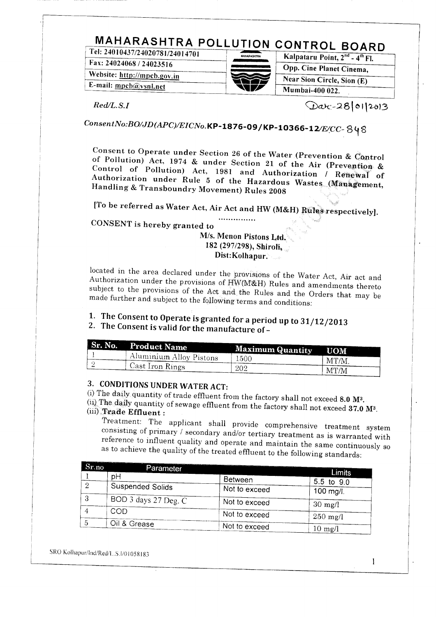#### **MAHARASHTRA POLLUTION CONTROL BOARD Tel: 24010437/24020781/24014701 Kalpataru Point, 2nd- 4th FI.**

**Fax:24024068/24023516**

 $Website: <http://mpcb.gov.in>$ **E-mail:** mpcb@ysnl.net



Kalpataru Point, 2<sup>nd</sup> - 4<sup>th</sup> Fl. **Opp. Cine Planet Cinema,** Near Sion Circle, Sion (E)<br>Mumbai-400 022.

 $Red/L.S.I$ 

 $Qac-28|01|2013$ 

# *ConsentNo:BO/JD(APC)/EICNo.KP-l876-09/KP-10366-12/E/CC*

**Consent to Operate under Section 26 of the Water (Prevention & Control of Pollution)** Act, 1974 & under Section 26 of the Water (Prevention & Control of Pollution) Act, 1974 & under Section 21 of the Air (Prevention & Control of Pollution) Act, 1981 and Authorization / Renewal of **Handling & Transboundry Movement) Rules 2008**

**[To be referred as Water Act, Air Act and HW (M&H) Rules respectively].**

**CONSENT is hereby granted to**

## **M/s. Menon Pistons Ltd.** 182 (207/298), Shirtong **193**<br>1920 (207/209), Shirtong 1940 182 (297/298), Shiroli, **Dist:Kolhapur.**

 $\Omega$  ated in the area declared under the provisions of the  $\Omega$  $\frac{1}{\sqrt{1-\frac{1}{\sqrt{1-\frac{1}{\sqrt{1-\frac{1}{\sqrt{1-\frac{1}{\sqrt{1-\frac{1}{\sqrt{1-\frac{1}{\sqrt{1-\frac{1}{\sqrt{1-\frac{1}{\sqrt{1-\frac{1}{\sqrt{1-\frac{1}{\sqrt{1-\frac{1}{\sqrt{1-\frac{1}{\sqrt{1-\frac{1}{\sqrt{1-\frac{1}{\sqrt{1-\frac{1}{\sqrt{1-\frac{1}{\sqrt{1-\frac{1}{\sqrt{1-\frac{1}{\sqrt{1-\frac{1}{\sqrt{1-\frac{1}{\sqrt{1-\frac{1}{\sqrt{1-\frac{1}{\sqrt{1-\frac{1}{\sqrt{1-\frac{1$ Authorization under the provisions of HW(M&H) Rules and amendments thereto subject to the provisions of the Act and the Rules and the Orders that may be made further and subject to the following terms and conditions:

### **1. The Consent to Operate is granted for a period up to 31/2013 2. The Consent is valid for the manufacture of a**

|  | $\cdots$ The consent is valid for the manufacture of $\ddot{\texttt{}}$ |
|--|-------------------------------------------------------------------------|
|  |                                                                         |

| Sr. No. Product Name          |                         |            |
|-------------------------------|-------------------------|------------|
|                               | <b>Maximum Quantity</b> | <b>UOM</b> |
| $\pm$ Aluminium Alloy Pistons | 1500                    | MT/M       |
| Cast Iron Rings               | 202                     | MT/M       |

# **3. CONDITIONS UNDER WATER ACT:**

(i) The daily quantity of trade effluent from the factory shall not exceed **8.0 M3.** (ii) The daily quantity of sewage effluent from the factory shall not exceed **37.0** M3. (ii) The daily quantity of sewage effluent from the factory shall not exceed 37.0 M<sup>3</sup>.<br>(iii) **Trade Effluent**:

 $T_{\text{max}}$  atministrative treatment. consisting of primary / secondary 11 provide comprehensive treatment system consisting of primary / secondary and/or tertiary treatment as is warranted with reference to influent quality and operate and maintain the same continuously so<br>as to achieve the quality of the treated effluent to the following standards:

| Sr.no. | Parameter               |               | Limits            |
|--------|-------------------------|---------------|-------------------|
|        | оH                      | Between       |                   |
|        | <b>Suspended Solids</b> | Not to exceed | 5.5 to $9.0$      |
|        |                         |               | 100 mg/l.         |
| Ð      | BOD 3 days 27 Deg. C    | Not to exceed | $30 \text{ mg/l}$ |
|        | COD                     | Not to exceed |                   |
|        |                         |               | $250$ mg/l        |
|        | Oil & Grease            | Not to exceed | $10 \text{ mol}$  |

SRO Kolhapur/lnd/Red/L.S.l/01058183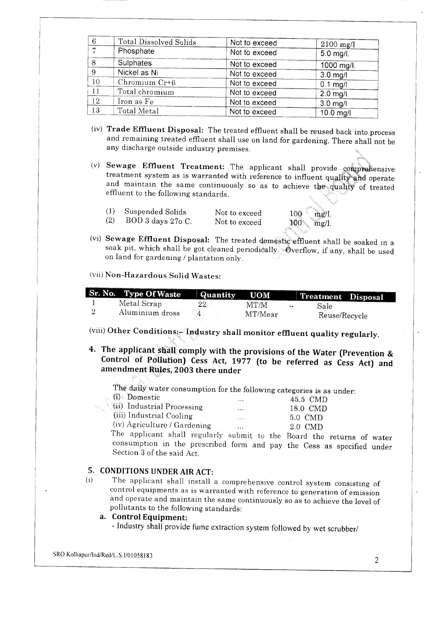| 6              | Total Dissolved Solids | Not to exceed | $2100 \text{ mg/l}$ |
|----------------|------------------------|---------------|---------------------|
| $\overline{ }$ | Phosphate              | Not to exceed | 5.0 mg/l.           |
| 8              | Sulphates              | Not to exceed | 1000 mg/l.          |
| 9              | Nickel as Ni           | Not to exceed | $3.0$ mg/l          |
| 10             | Chromium $Cr+6$        | Not to exceed | $0.1$ mg/l          |
| 11             | Total chromium         | Not to exceed | $2.0$ mg/l          |
| 12             | Iron as Fe             | Not to exceed | $3.0$ mg/l          |
| 13             | Total Metal            | Not to exceed | $10.0$ mg/l         |

- (iv) **Trade Effluent Disposal:** The treated effluent shall be reused back into process and remaining treated effluent shall use on land for gardening. There shall not be any discharge outside industry premises.
- (v) **Sewage Effluent Treatment:** The applicant shall provide comprehensive treatment system as is warranted with reference to influent quality and operate and maintain the same continuously so as to achieve the quality of treated effluent to the following standards.
	- (1) Suspended Solids (2) BOD 3 days 27o C.

Not to exceed Not to exceed

100 mg/l.  $100$  mg/l.

(vi) **Sewage Effluent Disposal:** The treated domestic effluent shall be soaked in a soak pit, which shall be got cleaned periodically. Overflow, if any, shall be used on land for gardening / plantation only.

#### (vii) Non-Hazardous Solid Wastes:

| Sr. No. Type Of Waste | <b>Quantity</b> | <b>UOM</b> |       | Treatment Disposal |  |
|-----------------------|-----------------|------------|-------|--------------------|--|
| Metal Scrap           |                 | MT/M       | $- -$ | Sale               |  |
| Aluminium dross       |                 | MT/Mear    |       | Reuse/Recycle      |  |

(viii) Other Conditions:- Industry shall monitor effluent quality regularly.

**4. The applicant shall comply with the provisions of the Water (Prevention & Control of Pollution) Cess Act, 1977 (to be referred as Cess Act) and amendment Rules, 2003 there under**

 $\frac{1}{2}$  The daily water consumption for the following categories is as under:  $6$ <sup>V</sup> Domestic ories is as  $5.5$  CMD.

| us Domestic                    |          | 45.5 CMD |
|--------------------------------|----------|----------|
| (ii) Industrial Processing     | .        | 18.0 CMD |
| (iii) Industrial Cooling       | $\cdots$ | 5.0 CMD  |
| $(iv)$ Agriculture / Gardening |          | 20 CMD   |

 $\frac{2.0 \text{ cm}}{2.0 \text{ cm}}$ consumption in the prescribed form and pay the Cess as specified under Section 3 of the said Act.

#### **5. CONDITIONS UNDER AIR ACT:**

(i) The applicant shall install a comprehensive control system consisting of control equipments as is warranted with reference to generation of emission and operate and maintain the same continuously so as to achieve the level of pollutants to the following standards:

#### **a. Control Equipment:**

- Industry shall provide fume extraction system followed by wet scrubber/

SRO Kolhapur/Ind/Red/L.S. 1/01058183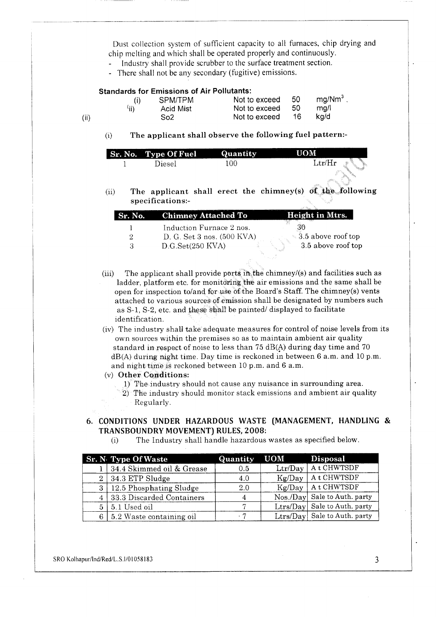Dust collection system of sufficient capacity to all furnaces, chip drying and chip melting and which shall be operated properly and continuously.

- Industry shall provide scrubber to the surface treatment section.  $\Box$
- There shall not be any secondary (fugitive) emissions.

#### **Standards for Emissions of Air Pollutants:**

|     |      | SPM/TPM   | Not to exceed | - 50 | mq/Mm <sup>3</sup> |
|-----|------|-----------|---------------|------|--------------------|
|     | (ii) | Acid Mist | Not to exceed | -50  | ma/l               |
| Ϊi) |      | So2       | Not to exceed | -16. | ka/d               |

(i) **The applicant shall observe the following fuel pattern:-**

| <b>Sr. No. Type Of Fuel</b> | Quantity | UOM                |
|-----------------------------|----------|--------------------|
| Diesel                      | LOO      | $\rm Ltr/Hr$<br>K. |

(ii) **The applicant shall erect the chimney(s) of the following specifications:-**

| <b>Sr. No.</b> Chimney Attached To     | Height in Mtrs.           |
|----------------------------------------|---------------------------|
| Induction Furnace 2 nos.               |                           |
| D. G. Set $3$ nos. $(500 \text{ KVA})$ | $\sim$ 3.5 above roof top |
| D.G.Set(250 KVA)                       | 3.5 above roof top        |

- (iii) The applicant shall provide ports in the chimney/(s) and facilities such as ladder, platform etc. for monitoring the air emissions and the same shall be open for inspection to/and for use of the Board's Staff. The chimney(s) vents attached to various sources of emission shall be designated by numbers such as S-l, S-2, etc. and these shall be painted/ displayed to facilitate identification.
- (iv) The industry shall take adequate measures for control of noise levels from its own sources within the premises so as to maintain ambient air quality standard in respect of noise to less than 75 dB(A) during day time and 70 dB(A) during night time. Day time is reckoned in between 6 a.m. and 10 p.m. and night time is reckoned between 10 p.m. and 6 a.m.
- (v) **Other Conditions:**
	- 1) The industry should not cause any nuisance in surrounding area.
	- 2) The industry should monitor stack emissions and ambient air quality Regularly.

#### **6. CONDITIONS UNDER HAZARDOUS WASTE (MANAGEMENT, HANDLING & TRANSBOUNDRY MOVEMENT) RULES, 2008:**

(i) The Industry shall handle hazardous wastes as specified below.

|    | <b>Sr. N</b> Type Of Waste | Quantity | <b>UOM</b> | Disposal                     |
|----|----------------------------|----------|------------|------------------------------|
|    | 34.4 Skimmed oil & Grease  | 0.5      |            | Ltr/Day   A t CHWTSDF        |
| 21 | $34.3$ ETP Sludge          | 4.0      | Kg/Day     | At CHWTSDF                   |
| 3  | 12.5 Phosphating Sludge    | 2.0      |            | $Kg/Day$   A t CHWTSDF       |
|    | 33.3 Discarded Containers  | 4        |            | Nos./Day Sale to Auth. party |
| 5  | 5.1 Used oil               |          |            | Ltrs/Day Sale to Auth. party |
| 6  | 5.2 Waste containing oil   | . 7      |            | Ltrs/Day Sale to Auth. party |

SRO Kolhapur/Ind/Red/L.S.I/01058183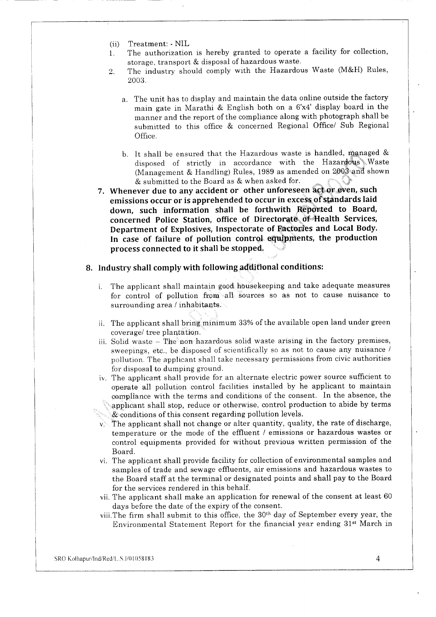- (ii) Treatment: NIL
- 1. The authorization is hereby granted to operate a facility for collection, storage, transport & disposal of hazardous waste.
- 2. The industry should comply with the Hazardous Waste (M&H) Rules, 2003.
	- a. The unit has to display and maintain the data online outside the factory main gate in Marathi & English both on a 6'x4' display board in the manner and the report of the compliance along with photograph shall be submitted to this office & concerned Regional Office/ Sub Regional Office.
	- b. It shall be ensured that the Hazardous waste is handled, managed & disposed of strictly in accordance with the Hazardous Waste (Management & Handling) Rules, 1989 as amended on 2003 and shown & submitted to the Board as & when asked for.
- **7. Whenever due to any accident or other unforeseen act or even, such emissions occur or is apprehended to occur in excess of standards laid down, such information shall be forthwith Reported to Board, concerned Police Station, office of Directorate of Health Services, Department of Explosives, Inspectorate of Factories and Local Body. In case of failure of pollution control equipments, the production process connected to it shall be stopped.**
- **8. Industry shall comply with following additional conditions:**
	- i. The applicant shall maintain good housekeeping and take adequate measures for control of pollution from all sources so as not to cause nuisance to surrounding area / inhabitants.
	- ii. The applicant shall bring minimum 33% of the available open land under green coverage/ tree plantation,
	- iii. Solid waste The non hazardous solid waste arising in the factory premises, sweepings, etc., be disposed of scientifically so as not to cause any nuisance / pollution. The applicant shall take necessary permissions from civic authorities for disposal to dumping ground.
	- iv. The applicant shall provide for an alternate electric power source sufficient to operate all pollution control facilities installed by he applicant to maintain compliance with the terms and conditions of the consent. In the absence, the **Examplicant shall stop, reduce or otherwise, control production to abide by terms**
	- & conditions of this consent regarding pollution levels.
	- $v$ . The applicant shall not change or alter quantity, quality, the rate of discharge, temperature or the mode of the effluent / emissions or hazardous wastes or control equipments provided for without previous written permission of the Board.
	- vi. The applicant shall provide facility for collection of environmental samples and samples of trade and sewage effluents, air emissions and hazardous wastes to the Board staff at the terminal or designated points and shall pay to the Board for the services rendered in this behalf,
	- vii. The applicant shall make an application for renewal of the consent at least 60 days before the date of the expiry of the consent.
	- viii.The firm shall submit to this office, the 30th day of September every year, the Environmental Statement Report for the financial year ending 31st March in

SROKolhapur/lnd/Red/LS. I/O 1058183